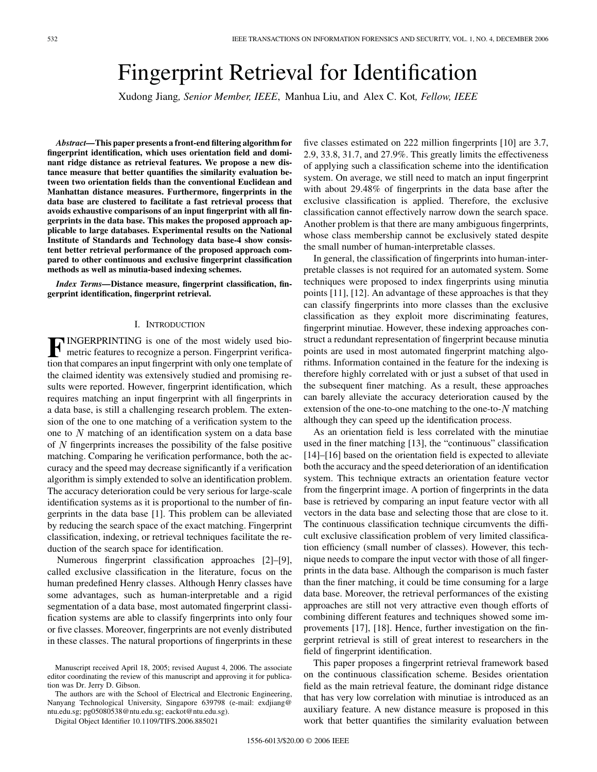# Fingerprint Retrieval for Identification

Xudong Jiang*, Senior Member, IEEE*, Manhua Liu, and Alex C. Kot*, Fellow, IEEE*

*Abstract—***This paper presents a front-end filtering algorithm for fingerprint identification, which uses orientation field and dominant ridge distance as retrieval features. We propose a new distance measure that better quantifies the similarity evaluation between two orientation fields than the conventional Euclidean and Manhattan distance measures. Furthermore, fingerprints in the data base are clustered to facilitate a fast retrieval process that avoids exhaustive comparisons of an input fingerprint with all fingerprints in the data base. This makes the proposed approach applicable to large databases. Experimental results on the National Institute of Standards and Technology data base-4 show consistent better retrieval performance of the proposed approach compared to other continuous and exclusive fingerprint classification methods as well as minutia-based indexing schemes.**

*Index Terms—***Distance measure, fingerprint classification, fingerprint identification, fingerprint retrieval.**

### I. INTRODUCTION

**F**INGERPRINTING is one of the most widely used bio-<br>metric features to recognize a person. Fingerprint verifica-<br>tion that compares an input fingerprint with only one templets of tion that compares an input fingerprint with only one template of the claimed identity was extensively studied and promising results were reported. However, fingerprint identification, which requires matching an input fingerprint with all fingerprints in a data base, is still a challenging research problem. The extension of the one to one matching of a verification system to the one to  $N$  matching of an identification system on a data base of  $N$  fingerprints increases the possibility of the false positive matching. Comparing he verification performance, both the accuracy and the speed may decrease significantly if a verification algorithm is simply extended to solve an identification problem. The accuracy deterioration could be very serious for large-scale identification systems as it is proportional to the number of fingerprints in the data base [1]. This problem can be alleviated by reducing the search space of the exact matching. Fingerprint classification, indexing, or retrieval techniques facilitate the reduction of the search space for identification.

Numerous fingerprint classification approaches [2]–[9], called exclusive classification in the literature, focus on the human predefined Henry classes. Although Henry classes have some advantages, such as human-interpretable and a rigid segmentation of a data base, most automated fingerprint classification systems are able to classify fingerprints into only four or five classes. Moreover, fingerprints are not evenly distributed in these classes. The natural proportions of fingerprints in these

Digital Object Identifier 10.1109/TIFS.2006.885021

five classes estimated on 222 million fingerprints [10] are 3.7, 2.9, 33.8, 31.7, and 27.9%. This greatly limits the effectiveness of applying such a classification scheme into the identification system. On average, we still need to match an input fingerprint with about 29.48% of fingerprints in the data base after the exclusive classification is applied. Therefore, the exclusive classification cannot effectively narrow down the search space. Another problem is that there are many ambiguous fingerprints, whose class membership cannot be exclusively stated despite the small number of human-interpretable classes.

In general, the classification of fingerprints into human-interpretable classes is not required for an automated system. Some techniques were proposed to index fingerprints using minutia points [11], [12]. An advantage of these approaches is that they can classify fingerprints into more classes than the exclusive classification as they exploit more discriminating features, fingerprint minutiae. However, these indexing approaches construct a redundant representation of fingerprint because minutia points are used in most automated fingerprint matching algorithms. Information contained in the feature for the indexing is therefore highly correlated with or just a subset of that used in the subsequent finer matching. As a result, these approaches can barely alleviate the accuracy deterioration caused by the extension of the one-to-one matching to the one-to- $N$  matching although they can speed up the identification process.

As an orientation field is less correlated with the minutiae used in the finer matching [13], the "continuous" classification [14]–[16] based on the orientation field is expected to alleviate both the accuracy and the speed deterioration of an identification system. This technique extracts an orientation feature vector from the fingerprint image. A portion of fingerprints in the data base is retrieved by comparing an input feature vector with all vectors in the data base and selecting those that are close to it. The continuous classification technique circumvents the difficult exclusive classification problem of very limited classification efficiency (small number of classes). However, this technique needs to compare the input vector with those of all fingerprints in the data base. Although the comparison is much faster than the finer matching, it could be time consuming for a large data base. Moreover, the retrieval performances of the existing approaches are still not very attractive even though efforts of combining different features and techniques showed some improvements [17], [18]. Hence, further investigation on the fingerprint retrieval is still of great interest to researchers in the field of fingerprint identification.

This paper proposes a fingerprint retrieval framework based on the continuous classification scheme. Besides orientation field as the main retrieval feature, the dominant ridge distance that has very low correlation with minutiae is introduced as an auxiliary feature. A new distance measure is proposed in this work that better quantifies the similarity evaluation between

Manuscript received April 18, 2005; revised August 4, 2006. The associate editor coordinating the review of this manuscript and approving it for publication was Dr. Jerry D. Gibson.

The authors are with the School of Electrical and Electronic Engineering, Nanyang Technological University, Singapore 639798 (e-mail: exdjiang@ ntu.edu.sg; pg05080538@ntu.edu.sg; eackot@ntu.edu.sg).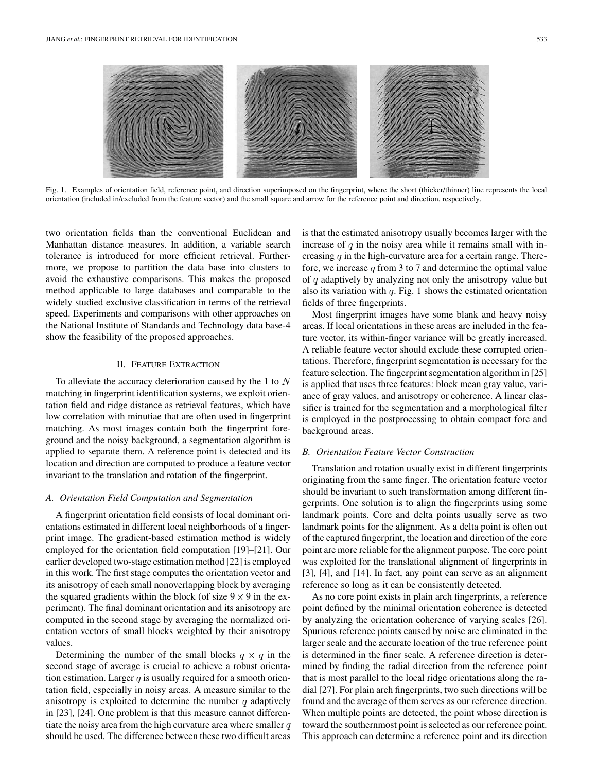

Fig. 1. Examples of orientation field, reference point, and direction superimposed on the fingerprint, where the short (thicker/thinner) line represents the local orientation (included in/excluded from the feature vector) and the small square and arrow for the reference point and direction, respectively.

two orientation fields than the conventional Euclidean and Manhattan distance measures. In addition, a variable search tolerance is introduced for more efficient retrieval. Furthermore, we propose to partition the data base into clusters to avoid the exhaustive comparisons. This makes the proposed method applicable to large databases and comparable to the widely studied exclusive classification in terms of the retrieval speed. Experiments and comparisons with other approaches on the National Institute of Standards and Technology data base-4 show the feasibility of the proposed approaches.

# II. FEATURE EXTRACTION

To alleviate the accuracy deterioration caused by the 1 to  $N$ matching in fingerprint identification systems, we exploit orientation field and ridge distance as retrieval features, which have low correlation with minutiae that are often used in fingerprint matching. As most images contain both the fingerprint foreground and the noisy background, a segmentation algorithm is applied to separate them. A reference point is detected and its location and direction are computed to produce a feature vector invariant to the translation and rotation of the fingerprint.

#### *A. Orientation Field Computation and Segmentation*

A fingerprint orientation field consists of local dominant orientations estimated in different local neighborhoods of a fingerprint image. The gradient-based estimation method is widely employed for the orientation field computation [19]–[21]. Our earlier developed two-stage estimation method [22] is employed in this work. The first stage computes the orientation vector and its anisotropy of each small nonoverlapping block by averaging the squared gradients within the block (of size  $9 \times 9$  in the experiment). The final dominant orientation and its anisotropy are computed in the second stage by averaging the normalized orientation vectors of small blocks weighted by their anisotropy values.

Determining the number of the small blocks  $q \times q$  in the second stage of average is crucial to achieve a robust orientation estimation. Larger  $q$  is usually required for a smooth orientation field, especially in noisy areas. A measure similar to the anisotropy is exploited to determine the number  $q$  adaptively in [23], [24]. One problem is that this measure cannot differentiate the noisy area from the high curvature area where smaller  $q$ should be used. The difference between these two difficult areas

is that the estimated anisotropy usually becomes larger with the increase of  $q$  in the noisy area while it remains small with increasing  $q$  in the high-curvature area for a certain range. Therefore, we increase  $q$  from 3 to 7 and determine the optimal value of  $q$  adaptively by analyzing not only the anisotropy value but also its variation with  $q$ . Fig. 1 shows the estimated orientation fields of three fingerprints.

Most fingerprint images have some blank and heavy noisy areas. If local orientations in these areas are included in the feature vector, its within-finger variance will be greatly increased. A reliable feature vector should exclude these corrupted orientations. Therefore, fingerprint segmentation is necessary for the feature selection. The fingerprint segmentation algorithm in [25] is applied that uses three features: block mean gray value, variance of gray values, and anisotropy or coherence. A linear classifier is trained for the segmentation and a morphological filter is employed in the postprocessing to obtain compact fore and background areas.

## *B. Orientation Feature Vector Construction*

Translation and rotation usually exist in different fingerprints originating from the same finger. The orientation feature vector should be invariant to such transformation among different fingerprints. One solution is to align the fingerprints using some landmark points. Core and delta points usually serve as two landmark points for the alignment. As a delta point is often out of the captured fingerprint, the location and direction of the core point are more reliable for the alignment purpose. The core point was exploited for the translational alignment of fingerprints in [3], [4], and [14]. In fact, any point can serve as an alignment reference so long as it can be consistently detected.

As no core point exists in plain arch fingerprints, a reference point defined by the minimal orientation coherence is detected by analyzing the orientation coherence of varying scales [26]. Spurious reference points caused by noise are eliminated in the larger scale and the accurate location of the true reference point is determined in the finer scale. A reference direction is determined by finding the radial direction from the reference point that is most parallel to the local ridge orientations along the radial [27]. For plain arch fingerprints, two such directions will be found and the average of them serves as our reference direction. When multiple points are detected, the point whose direction is toward the southernmost point is selected as our reference point. This approach can determine a reference point and its direction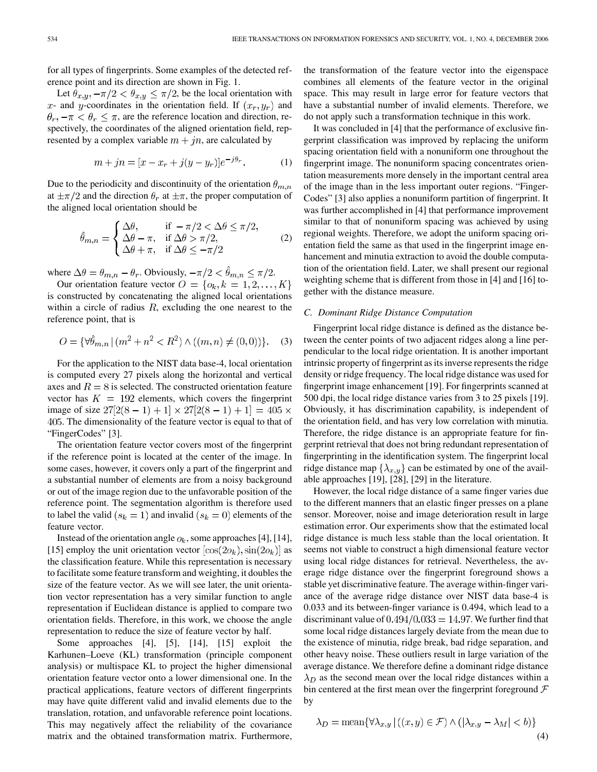for all types of fingerprints. Some examples of the detected reference point and its direction are shown in Fig. 1.

Let  $\theta_{x,y}, -\pi/2 < \theta_{x,y} \leq \pi/2$ , be the local orientation with x- and y-coordinates in the orientation field. If  $(x_r, y_r)$  and  $\theta_r, -\pi < \theta_r \leq \pi$ , are the reference location and direction, respectively, the coordinates of the aligned orientation field, represented by a complex variable  $m + jn$ , are calculated by

$$
m + jn = [x - x_r + j(y - y_r)]e^{-j\theta_r}.
$$
 (1)

Due to the periodicity and discontinuity of the orientation  $\theta_{m,n}$ at  $\pm \pi/2$  and the direction  $\theta_r$  at  $\pm \pi$ , the proper computation of the aligned local orientation should be

$$
\hat{\theta}_{m,n} = \begin{cases}\n\Delta\theta, & \text{if } -\pi/2 < \Delta\theta \le \pi/2, \\
\Delta\theta - \pi, & \text{if } \Delta\theta > \pi/2, \\
\Delta\theta + \pi, & \text{if } \Delta\theta \le -\pi/2\n\end{cases}
$$
\n(2)

where  $\Delta \theta = \theta_{m,n} - \theta_r$ . Obviously,  $-\pi/2 < \hat{\theta}_{m,n} \le \pi/2$ .

Our orientation feature vector  $O = \{o_k, k = 1, 2, ..., K\}$ is constructed by concatenating the aligned local orientations within a circle of radius  $R$ , excluding the one nearest to the reference point, that is

$$
O = \{ \forall \hat{\theta}_{m,n} \, | \, (m^2 + n^2 < R^2) \land ((m, n) \neq (0, 0)) \}. \tag{3}
$$

For the application to the NIST data base-4, local orientation is computed every 27 pixels along the horizontal and vertical axes and  $R = 8$  is selected. The constructed orientation feature vector has  $K = 192$  elements, which covers the fingerprint image of size  $27[2(8-1)+1] \times 27[2(8-1)+1] = 405 \times$ . The dimensionality of the feature vector is equal to that of "FingerCodes" [3].

The orientation feature vector covers most of the fingerprint if the reference point is located at the center of the image. In some cases, however, it covers only a part of the fingerprint and a substantial number of elements are from a noisy background or out of the image region due to the unfavorable position of the reference point. The segmentation algorithm is therefore used to label the valid  $(s_k = 1)$  and invalid  $(s_k = 0)$  elements of the feature vector.

Instead of the orientation angle  $o_k$ , some approaches [4], [14], [15] employ the unit orientation vector  $[\cos(2\omega_k), \sin(2\omega_k)]$  as the classification feature. While this representation is necessary to facilitate some feature transform and weighting, it doubles the size of the feature vector. As we will see later, the unit orientation vector representation has a very similar function to angle representation if Euclidean distance is applied to compare two orientation fields. Therefore, in this work, we choose the angle representation to reduce the size of feature vector by half.

Some approaches [4], [5], [14], [15] exploit the Karhunen–Loeve (KL) transformation (principle component analysis) or multispace KL to project the higher dimensional orientation feature vector onto a lower dimensional one. In the practical applications, feature vectors of different fingerprints may have quite different valid and invalid elements due to the translation, rotation, and unfavorable reference point locations. This may negatively affect the reliability of the covariance matrix and the obtained transformation matrix. Furthermore, the transformation of the feature vector into the eigenspace combines all elements of the feature vector in the original space. This may result in large error for feature vectors that have a substantial number of invalid elements. Therefore, we do not apply such a transformation technique in this work.

It was concluded in [4] that the performance of exclusive fingerprint classification was improved by replacing the uniform spacing orientation field with a nonuniform one throughout the fingerprint image. The nonuniform spacing concentrates orientation measurements more densely in the important central area of the image than in the less important outer regions. "Finger-Codes" [3] also applies a nonuniform partition of fingerprint. It was further accomplished in [4] that performance improvement similar to that of nonuniform spacing was achieved by using regional weights. Therefore, we adopt the uniform spacing orientation field the same as that used in the fingerprint image enhancement and minutia extraction to avoid the double computation of the orientation field. Later, we shall present our regional weighting scheme that is different from those in [4] and [16] together with the distance measure.

#### *C. Dominant Ridge Distance Computation*

Fingerprint local ridge distance is defined as the distance between the center points of two adjacent ridges along a line perpendicular to the local ridge orientation. It is another important intrinsic property of fingerprint as its inverse represents the ridge density or ridge frequency. The local ridge distance was used for fingerprint image enhancement [19]. For fingerprints scanned at 500 dpi, the local ridge distance varies from 3 to 25 pixels [19]. Obviously, it has discrimination capability, is independent of the orientation field, and has very low correlation with minutia. Therefore, the ridge distance is an appropriate feature for fingerprint retrieval that does not bring redundant representation of fingerprinting in the identification system. The fingerprint local ridge distance map  $\{\lambda_{x,y}\}$  can be estimated by one of the available approaches [19], [28], [29] in the literature.

However, the local ridge distance of a same finger varies due to the different manners that an elastic finger presses on a plane sensor. Moreover, noise and image deterioration result in large estimation error. Our experiments show that the estimated local ridge distance is much less stable than the local orientation. It seems not viable to construct a high dimensional feature vector using local ridge distances for retrieval. Nevertheless, the average ridge distance over the fingerprint foreground shows a stable yet discriminative feature. The average within-finger variance of the average ridge distance over NIST data base-4 is 0.033 and its between-finger variance is 0.494, which lead to a discriminant value of  $0.494/0.033 = 14.97$ . We further find that some local ridge distances largely deviate from the mean due to the existence of minutia, ridge break, bad ridge separation, and other heavy noise. These outliers result in large variation of the average distance. We therefore define a dominant ridge distance  $\lambda_D$  as the second mean over the local ridge distances within a bin centered at the first mean over the fingerprint foreground  $\mathcal F$ by

$$
\lambda_D = \text{mean}\{\forall \lambda_{x,y} \mid ((x,y) \in \mathcal{F}) \land (\vert \lambda_{x,y} - \lambda_M \vert < b)\}\tag{4}
$$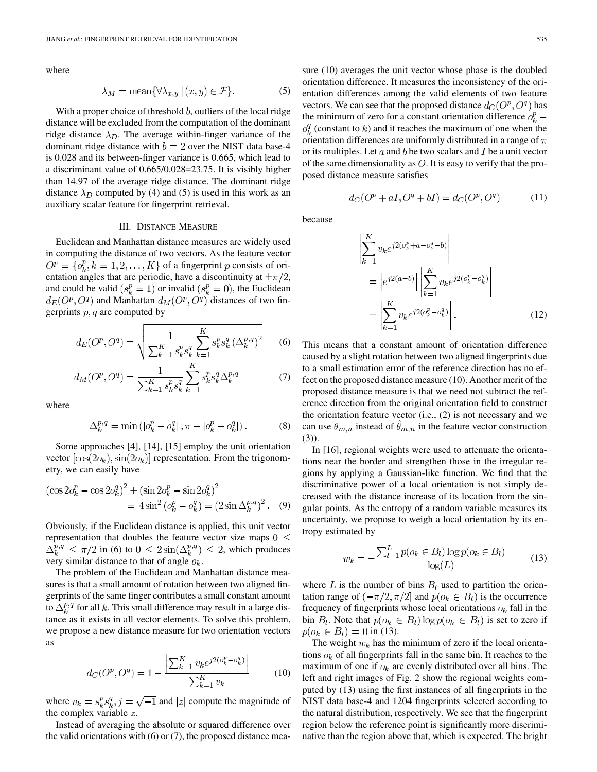where

$$
\lambda_M = \text{mean}\{\forall \lambda_{x,y} \, | \, (x,y) \in \mathcal{F}\}.
$$

With a proper choice of threshold  $b$ , outliers of the local ridge distance will be excluded from the computation of the dominant ridge distance  $\lambda_D$ . The average within-finger variance of the dominant ridge distance with  $b=2$  over the NIST data base-4 is 0.028 and its between-finger variance is 0.665, which lead to a discriminant value of 0.665/0.028=23.75. It is visibly higher than 14.97 of the average ridge distance. The dominant ridge distance  $\lambda_D$  computed by (4) and (5) is used in this work as an auxiliary scalar feature for fingerprint retrieval.

## III. DISTANCE MEASURE

Euclidean and Manhattan distance measures are widely used in computing the distance of two vectors. As the feature vector  $O^p = \{o_k^p, k = 1, 2, \ldots, K\}$  of a fingerprint p consists of orientation angles that are periodic, have a discontinuity at  $\pm \pi/2$ , and could be valid  $(s_k^p = 1)$  or invalid  $(s_k^p = 0)$ , the Euclidean  $d_E(O^p, O^q)$  and Manhattan  $d_M(O^p, O^q)$  distances of two fingerprints  $p, q$  are computed by

$$
d_E(O^p, O^q) = \sqrt{\frac{1}{\sum_{k=1}^K s_k^p s_k^q} \sum_{k=1}^K s_k^p s_k^q (\Delta_k^{p,q})^2}
$$
 (6)

$$
d_M(O^p, O^q) = \frac{1}{\sum_{k=1}^K s_k^p s_k^q} \sum_{k=1}^K s_k^p s_k^q \Delta_k^{p,q}
$$
 (7)

where

$$
\Delta_k^{p,q} = \min\left( |o_k^p - o_k^q|, \pi - |o_k^p - o_k^q| \right). \tag{8}
$$

Some approaches [4], [14], [15] employ the unit orientation vector  $[\cos(2\omega_k), \sin(2\omega_k)]$  representation. From the trigonometry, we can easily have

$$
(\cos 2\sigma_k^p - \cos 2\sigma_k^q)^2 + (\sin 2\sigma_k^p - \sin 2\sigma_k^q)^2
$$
  
=  $4\sin^2(\sigma_k^p - \sigma_k^q) = (2\sin \Delta_k^{p,q})^2$ . (9)

Obviously, if the Euclidean distance is applied, this unit vector representation that doubles the feature vector size maps  $0 \leq$  $\Delta_k^{p,q} \leq \pi/2$  in (6) to  $0 \leq 2\sin(\Delta_k^{p,q}) \leq 2$ , which produces very similar distance to that of angle  $o_k$ .

The problem of the Euclidean and Manhattan distance measures is that a small amount of rotation between two aligned fingerprints of the same finger contributes a small constant amount to  $\Delta_k^{p,q}$  for all k. This small difference may result in a large distance as it exists in all vector elements. To solve this problem, we propose a new distance measure for two orientation vectors as

$$
d_C(O^p, O^q) = 1 - \frac{\left| \sum_{k=1}^K v_k e^{j2(o_k^p - o_k^q)} \right|}{\sum_{k=1}^K v_k}
$$
(10)

where  $v_k = s_k^p s_k^q$ ,  $j = \sqrt{-1}$  and |z| compute the magnitude of the complex variable  $z$ .

Instead of averaging the absolute or squared difference over the valid orientations with (6) or (7), the proposed distance measure (10) averages the unit vector whose phase is the doubled orientation difference. It measures the inconsistency of the orientation differences among the valid elements of two feature vectors. We can see that the proposed distance  $d_C(O^p, O^q)$  has the minimum of zero for a constant orientation difference  $o_k^p$  –  $o_k^q$  (constant to k) and it reaches the maximum of one when the orientation differences are uniformly distributed in a range of  $\pi$ or its multiples. Let a and b be two scalars and I be a unit vector of the same dimensionality as  $O$ . It is easy to verify that the proposed distance measure satisfies

$$
d_C(O^p + aI, O^q + bI) = d_C(O^p, O^q)
$$
 (11)

because

$$
\begin{aligned}\n\left| \sum_{k=1}^{K} v_k e^{j2(o_k^p + a - o_k^q - b)} \right| \\
= \left| e^{j2(a-b)} \right| \left| \sum_{k=1}^{K} v_k e^{j2(o_k^p - o_k^q)} \right| \\
= \left| \sum_{k=1}^{K} v_k e^{j2(o_k^p - o_k^q)} \right|. \n\end{aligned} \n(12)
$$

This means that a constant amount of orientation difference caused by a slight rotation between two aligned fingerprints due to a small estimation error of the reference direction has no effect on the proposed distance measure (10). Another merit of the proposed distance measure is that we need not subtract the reference direction from the original orientation field to construct the orientation feature vector (i.e., (2) is not necessary and we can use  $\theta_{m,n}$  instead of  $\theta_{m,n}$  in the feature vector construction (3)).

In [16], regional weights were used to attenuate the orientations near the border and strengthen those in the irregular regions by applying a Gaussian-like function. We find that the discriminative power of a local orientation is not simply decreased with the distance increase of its location from the singular points. As the entropy of a random variable measures its uncertainty, we propose to weigh a local orientation by its entropy estimated by

$$
w_k = -\frac{\sum_{l=1}^{L} p(o_k \in B_l) \log p(o_k \in B_l)}{\log(L)}
$$
(13)

where L is the number of bins  $B_l$  used to partition the orientation range of  $(-\pi/2, \pi/2]$  and  $p(o_k \in B_l)$  is the occurrence frequency of fingerprints whose local orientations  $o_k$  fall in the bin  $B_l$ . Note that  $p(o_k \in B_l) \log p(o_k \in B_l)$  is set to zero if  $p(o_k \in B_l) = 0$  in (13).

The weight  $w_k$  has the minimum of zero if the local orientations  $o_k$  of all fingerprints fall in the same bin. It reaches to the maximum of one if  $o_k$  are evenly distributed over all bins. The left and right images of Fig. 2 show the regional weights computed by (13) using the first instances of all fingerprints in the NIST data base-4 and 1204 fingerprints selected according to the natural distribution, respectively. We see that the fingerprint region below the reference point is significantly more discriminative than the region above that, which is expected. The bright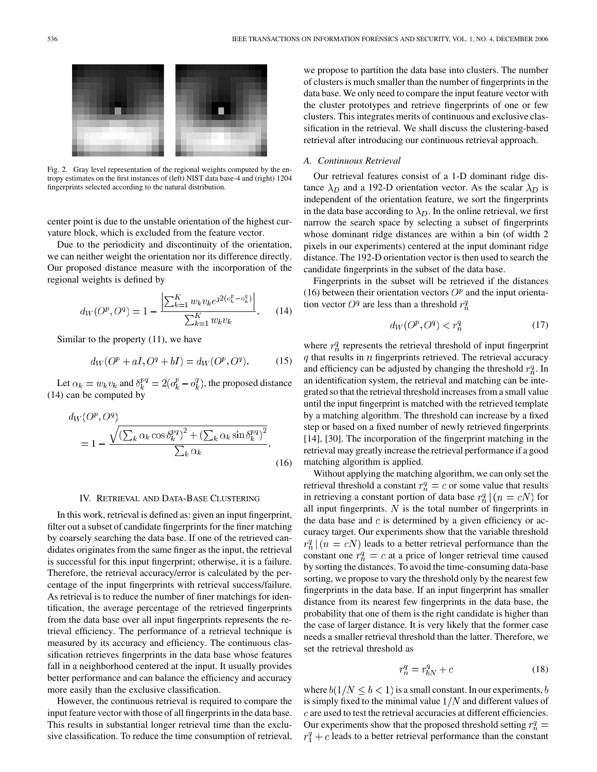

Fig. 2. Gray level representation of the regional weights computed by the entropy estimates on the first instances of (left) NIST data base-4 and (right) 1204 fingerprints selected according to the natural distribution.

center point is due to the unstable orientation of the highest curvature block, which is excluded from the feature vector.

Due to the periodicity and discontinuity of the orientation, we can neither weight the orientation nor its difference directly. Our proposed distance measure with the incorporation of the regional weights is defined by

$$
d_W(O^p, O^q) = 1 - \frac{\left| \sum_{k=1}^K w_k v_k e^{j2(o_k^p - o_k^q)} \right|}{\sum_{k=1}^K w_k v_k}.
$$
 (14)

Similar to the property (11), we have

$$
d_W(O^p + aI, O^q + bI) = d_W(O^p, O^q).
$$
 (15)

Let  $\alpha_k = w_k v_k$  and  $\delta_k^{pq} = 2(\sigma_k^p - \sigma_k^q)$ , the proposed distance (14) can be computed by

$$
d_W(O^p, O^q)
$$
  
=  $1 - \frac{\sqrt{\left(\sum_k \alpha_k \cos \delta_k^{pq}\right)^2 + \left(\sum_k \alpha_k \sin \delta_k^{pq}\right)^2}}{\sum_k \alpha_k}.$  (16)

## IV. RETRIEVAL AND DATA-BASE CLUSTERING

In this work, retrieval is defined as: given an input fingerprint, filter out a subset of candidate fingerprints for the finer matching by coarsely searching the data base. If one of the retrieved candidates originates from the same finger as the input, the retrieval is successful for this input fingerprint; otherwise, it is a failure. Therefore, the retrieval accuracy/error is calculated by the percentage of the input fingerprints with retrieval success/failure. As retrieval is to reduce the number of finer matchings for identification, the average percentage of the retrieved fingerprints from the data base over all input fingerprints represents the retrieval efficiency. The performance of a retrieval technique is measured by its accuracy and efficiency. The continuous classification retrieves fingerprints in the data base whose features fall in a neighborhood centered at the input. It usually provides better performance and can balance the efficiency and accuracy more easily than the exclusive classification.

However, the continuous retrieval is required to compare the input feature vector with those of all fingerprints in the data base. This results in substantial longer retrieval time than the exclusive classification. To reduce the time consumption of retrieval,

we propose to partition the data base into clusters. The number of clusters is much smaller than the number of fingerprints in the data base. We only need to compare the input feature vector with the cluster prototypes and retrieve fingerprints of one or few clusters. This integrates merits of continuous and exclusive classification in the retrieval. We shall discuss the clustering-based retrieval after introducing our continuous retrieval approach.

# *A. Continuous Retrieval*

Our retrieval features consist of a 1-D dominant ridge distance  $\lambda_D$  and a 192-D orientation vector. As the scalar  $\lambda_D$  is independent of the orientation feature, we sort the fingerprints in the data base according to  $\lambda_D$ . In the online retrieval, we first narrow the search space by selecting a subset of fingerprints whose dominant ridge distances are within a bin (of width 2 pixels in our experiments) centered at the input dominant ridge distance. The 192-D orientation vector is then used to search the candidate fingerprints in the subset of the data base.

Fingerprints in the subset will be retrieved if the distances (16) between their orientation vectors  $O<sup>p</sup>$  and the input orientation vector  $O<sup>q</sup>$  are less than a threshold  $r_n^q$ 

$$
d_W(O^p, O^q) < r_n^q \tag{17}
$$

where  $r_n^q$  represents the retrieval threshold of input fingerprint  $q$  that results in  $n$  fingerprints retrieved. The retrieval accuracy and efficiency can be adjusted by changing the threshold  $r_n^q$ . In an identification system, the retrieval and matching can be integrated so that the retrieval threshold increases from a small value until the input fingerprint is matched with the retrieved template by a matching algorithm. The threshold can increase by a fixed step or based on a fixed number of newly retrieved fingerprints [14], [30]. The incorporation of the fingerprint matching in the retrieval may greatly increase the retrieval performance if a good matching algorithm is applied.

Without applying the matching algorithm, we can only set the retrieval threshold a constant  $r_n^q = c$  or some value that results in retrieving a constant portion of data base  $r_n^q|(n = cN)$  for all input fingerprints.  $N$  is the total number of fingerprints in the data base and  $c$  is determined by a given efficiency or accuracy target. Our experiments show that the variable threshold  $r_n^q|(n = cN)$  leads to a better retrieval performance than the constant one  $r_n^q = c$  at a price of longer retrieval time caused by sorting the distances. To avoid the time-consuming data-base sorting, we propose to vary the threshold only by the nearest few fingerprints in the data base. If an input fingerprint has smaller distance from its nearest few fingerprints in the data base, the probability that one of them is the right candidate is higher than the case of larger distance. It is very likely that the former case needs a smaller retrieval threshold than the latter. Therefore, we set the retrieval threshold as

$$
r_n^q = r_{bN}^q + c \tag{18}
$$

where  $b(1/N \le b < 1)$  is a small constant. In our experiments, b is simply fixed to the minimal value  $1/N$  and different values of  $c$  are used to test the retrieval accuracies at different efficiencies. Our experiments show that the proposed threshold setting  $r_n^q =$  $r_1^q$  + c leads to a better retrieval performance than the constant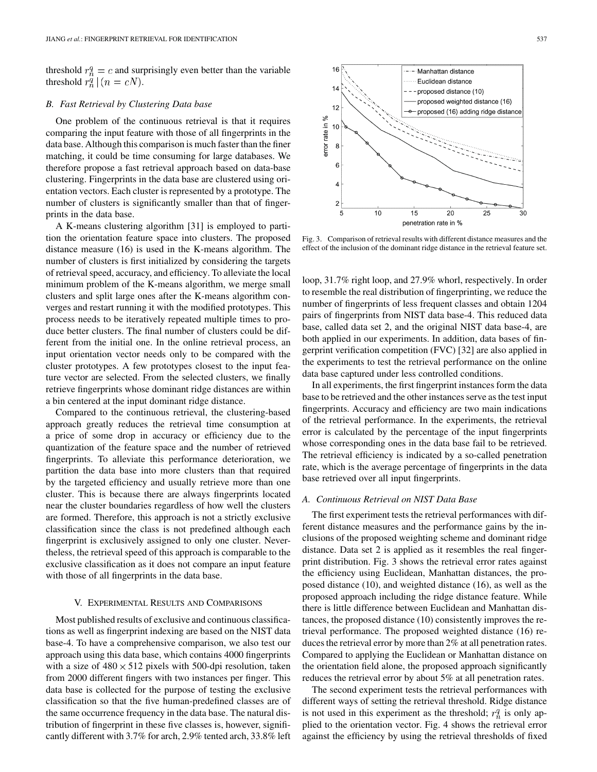threshold  $r_n^q = c$  and surprisingly even better than the variable threshold  $r_n^q|(n = cN)$ .

#### *B. Fast Retrieval by Clustering Data base*

One problem of the continuous retrieval is that it requires comparing the input feature with those of all fingerprints in the data base. Although this comparison is much faster than the finer matching, it could be time consuming for large databases. We therefore propose a fast retrieval approach based on data-base clustering. Fingerprints in the data base are clustered using orientation vectors. Each cluster is represented by a prototype. The number of clusters is significantly smaller than that of fingerprints in the data base.

A K-means clustering algorithm [31] is employed to partition the orientation feature space into clusters. The proposed distance measure (16) is used in the K-means algorithm. The number of clusters is first initialized by considering the targets of retrieval speed, accuracy, and efficiency. To alleviate the local minimum problem of the K-means algorithm, we merge small clusters and split large ones after the K-means algorithm converges and restart running it with the modified prototypes. This process needs to be iteratively repeated multiple times to produce better clusters. The final number of clusters could be different from the initial one. In the online retrieval process, an input orientation vector needs only to be compared with the cluster prototypes. A few prototypes closest to the input feature vector are selected. From the selected clusters, we finally retrieve fingerprints whose dominant ridge distances are within a bin centered at the input dominant ridge distance.

Compared to the continuous retrieval, the clustering-based approach greatly reduces the retrieval time consumption at a price of some drop in accuracy or efficiency due to the quantization of the feature space and the number of retrieved fingerprints. To alleviate this performance deterioration, we partition the data base into more clusters than that required by the targeted efficiency and usually retrieve more than one cluster. This is because there are always fingerprints located near the cluster boundaries regardless of how well the clusters are formed. Therefore, this approach is not a strictly exclusive classification since the class is not predefined although each fingerprint is exclusively assigned to only one cluster. Nevertheless, the retrieval speed of this approach is comparable to the exclusive classification as it does not compare an input feature with those of all fingerprints in the data base.

#### V. EXPERIMENTAL RESULTS AND COMPARISONS

Most published results of exclusive and continuous classifications as well as fingerprint indexing are based on the NIST data base-4. To have a comprehensive comparison, we also test our approach using this data base, which contains 4000 fingerprints with a size of  $480 \times 512$  pixels with 500-dpi resolution, taken from 2000 different fingers with two instances per finger. This data base is collected for the purpose of testing the exclusive classification so that the five human-predefined classes are of the same occurrence frequency in the data base. The natural distribution of fingerprint in these five classes is, however, significantly different with 3.7% for arch, 2.9% tented arch, 33.8% left



Fig. 3. Comparison of retrieval results with different distance measures and the effect of the inclusion of the dominant ridge distance in the retrieval feature set.

loop, 31.7% right loop, and 27.9% whorl, respectively. In order to resemble the real distribution of fingerprinting, we reduce the number of fingerprints of less frequent classes and obtain 1204 pairs of fingerprints from NIST data base-4. This reduced data base, called data set 2, and the original NIST data base-4, are both applied in our experiments. In addition, data bases of fingerprint verification competition (FVC) [32] are also applied in the experiments to test the retrieval performance on the online data base captured under less controlled conditions.

In all experiments, the first fingerprint instances form the data base to be retrieved and the other instances serve as the test input fingerprints. Accuracy and efficiency are two main indications of the retrieval performance. In the experiments, the retrieval error is calculated by the percentage of the input fingerprints whose corresponding ones in the data base fail to be retrieved. The retrieval efficiency is indicated by a so-called penetration rate, which is the average percentage of fingerprints in the data base retrieved over all input fingerprints.

# *A. Continuous Retrieval on NIST Data Base*

The first experiment tests the retrieval performances with different distance measures and the performance gains by the inclusions of the proposed weighting scheme and dominant ridge distance. Data set 2 is applied as it resembles the real fingerprint distribution. Fig. 3 shows the retrieval error rates against the efficiency using Euclidean, Manhattan distances, the proposed distance (10), and weighted distance (16), as well as the proposed approach including the ridge distance feature. While there is little difference between Euclidean and Manhattan distances, the proposed distance (10) consistently improves the retrieval performance. The proposed weighted distance (16) reduces the retrieval error by more than 2% at all penetration rates. Compared to applying the Euclidean or Manhattan distance on the orientation field alone, the proposed approach significantly reduces the retrieval error by about 5% at all penetration rates.

The second experiment tests the retrieval performances with different ways of setting the retrieval threshold. Ridge distance is not used in this experiment as the threshold;  $r_n^q$  is only applied to the orientation vector. Fig. 4 shows the retrieval error against the efficiency by using the retrieval thresholds of fixed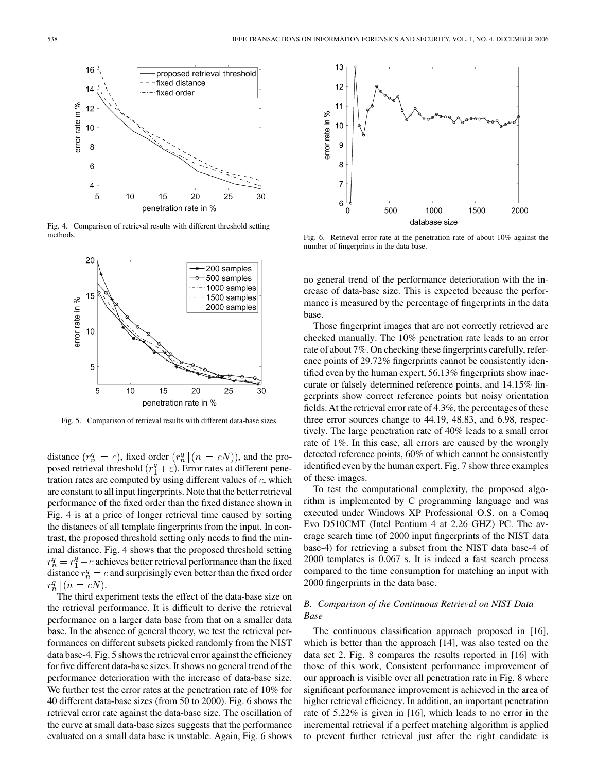

Fig. 4. Comparison of retrieval results with different threshold setting methods.



Fig. 5. Comparison of retrieval results with different data-base sizes.

distance  $(r_n^q = c)$ , fixed order  $(r_n^q | (n = cN))$ , and the proposed retrieval threshold  $(r_1^q + c)$ . Error rates at different penetration rates are computed by using different values of  $c$ , which are constant to all input fingerprints. Note that the better retrieval performance of the fixed order than the fixed distance shown in Fig. 4 is at a price of longer retrieval time caused by sorting the distances of all template fingerprints from the input. In contrast, the proposed threshold setting only needs to find the minimal distance. Fig. 4 shows that the proposed threshold setting  $r_n^q = r_1^q + c$  achieves better retrieval performance than the fixed distance  $r_n^q = c$  and surprisingly even better than the fixed order  $r_n^q \, | \, (n = cN).$ 

The third experiment tests the effect of the data-base size on the retrieval performance. It is difficult to derive the retrieval performance on a larger data base from that on a smaller data base. In the absence of general theory, we test the retrieval performances on different subsets picked randomly from the NIST data base-4. Fig. 5 shows the retrieval error against the efficiency for five different data-base sizes. It shows no general trend of the performance deterioration with the increase of data-base size. We further test the error rates at the penetration rate of 10% for 40 different data-base sizes (from 50 to 2000). Fig. 6 shows the retrieval error rate against the data-base size. The oscillation of the curve at small data-base sizes suggests that the performance evaluated on a small data base is unstable. Again, Fig. 6 shows



Fig. 6. Retrieval error rate at the penetration rate of about 10% against the number of fingerprints in the data base.

no general trend of the performance deterioration with the increase of data-base size. This is expected because the performance is measured by the percentage of fingerprints in the data base.

Those fingerprint images that are not correctly retrieved are checked manually. The 10% penetration rate leads to an error rate of about 7%. On checking these fingerprints carefully, reference points of 29.72% fingerprints cannot be consistently identified even by the human expert, 56.13% fingerprints show inaccurate or falsely determined reference points, and 14.15% fingerprints show correct reference points but noisy orientation fields. At the retrieval error rate of 4.3%, the percentages of these three error sources change to 44.19, 48.83, and 6.98, respectively. The large penetration rate of 40% leads to a small error rate of 1%. In this case, all errors are caused by the wrongly detected reference points, 60% of which cannot be consistently identified even by the human expert. Fig. 7 show three examples of these images.

To test the computational complexity, the proposed algorithm is implemented by C programming language and was executed under Windows XP Professional O.S. on a Comaq Evo D510CMT (Intel Pentium 4 at 2.26 GHZ) PC. The average search time (of 2000 input fingerprints of the NIST data base-4) for retrieving a subset from the NIST data base-4 of 2000 templates is 0.067 s. It is indeed a fast search process compared to the time consumption for matching an input with 2000 fingerprints in the data base.

# *B. Comparison of the Continuous Retrieval on NIST Data Base*

The continuous classification approach proposed in [16], which is better than the approach [14], was also tested on the data set 2. Fig. 8 compares the results reported in [16] with those of this work, Consistent performance improvement of our approach is visible over all penetration rate in Fig. 8 where significant performance improvement is achieved in the area of higher retrieval efficiency. In addition, an important penetration rate of 5.22% is given in [16], which leads to no error in the incremental retrieval if a perfect matching algorithm is applied to prevent further retrieval just after the right candidate is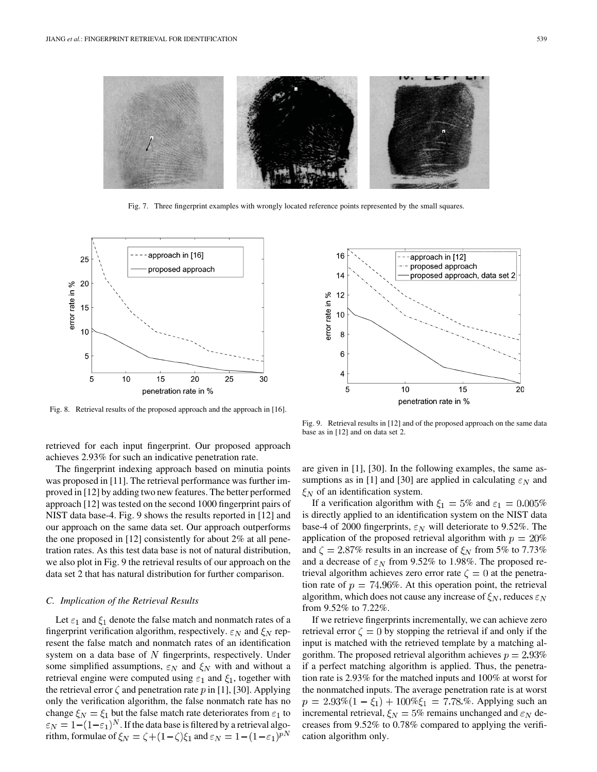

Fig. 7. Three fingerprint examples with wrongly located reference points represented by the small squares.



Fig. 8. Retrieval results of the proposed approach and the approach in [16].

retrieved for each input fingerprint. Our proposed approach achieves 2.93% for such an indicative penetration rate.

The fingerprint indexing approach based on minutia points was proposed in [11]. The retrieval performance was further improved in [12] by adding two new features. The better performed approach [12] was tested on the second 1000 fingerprint pairs of NIST data base-4. Fig. 9 shows the results reported in [12] and our approach on the same data set. Our approach outperforms the one proposed in [12] consistently for about 2% at all penetration rates. As this test data base is not of natural distribution, we also plot in Fig. 9 the retrieval results of our approach on the data set 2 that has natural distribution for further comparison.

# *C. Implication of the Retrieval Results*

Let  $\varepsilon_1$  and  $\xi_1$  denote the false match and nonmatch rates of a fingerprint verification algorithm, respectively.  $\varepsilon_N$  and  $\xi_N$  represent the false match and nonmatch rates of an identification system on a data base of  $N$  fingerprints, respectively. Under some simplified assumptions,  $\varepsilon_N$  and  $\xi_N$  with and without a retrieval engine were computed using  $\varepsilon_1$  and  $\xi_1$ , together with the retrieval error  $\zeta$  and penetration rate p in [1], [30]. Applying only the verification algorithm, the false nonmatch rate has no change  $\xi_N = \xi_1$  but the false match rate deteriorates from  $\varepsilon_1$  to  $\varepsilon_N = 1 - (1 - \varepsilon_1)^N$ . If the data base is filtered by a retrieval algorithm, formulae of  $\xi_N = \zeta + (1 - \zeta)\xi_1$  and  $\varepsilon_N = 1 - (1 - \varepsilon_1)^{pN}$ 



Fig. 9. Retrieval results in [12] and of the proposed approach on the same data base as in [12] and on data set 2.

are given in [1], [30]. In the following examples, the same assumptions as in [1] and [30] are applied in calculating  $\varepsilon_N$  and  $\xi_N$  of an identification system.

If a verification algorithm with  $\xi_1 = 5\%$  and  $\varepsilon_1 = 0.005\%$ is directly applied to an identification system on the NIST data base-4 of 2000 fingerprints,  $\varepsilon_N$  will deteriorate to 9.52%. The application of the proposed retrieval algorithm with  $p = 20\%$ and  $\zeta = 2.87\%$  results in an increase of  $\xi_N$  from 5% to 7.73% and a decrease of  $\varepsilon_N$  from 9.52% to 1.98%. The proposed retrieval algorithm achieves zero error rate  $\zeta = 0$  at the penetration rate of  $p = 74.96\%$ . At this operation point, the retrieval algorithm, which does not cause any increase of  $\xi_N$ , reduces  $\varepsilon_N$ from 9.52% to 7.22%.

If we retrieve fingerprints incrementally, we can achieve zero retrieval error  $\zeta = 0$  by stopping the retrieval if and only if the input is matched with the retrieved template by a matching algorithm. The proposed retrieval algorithm achieves  $p = 2.93\%$ if a perfect matching algorithm is applied. Thus, the penetration rate is 2.93% for the matched inputs and 100% at worst for the nonmatched inputs. The average penetration rate is at worst  $p = 2.93\%(1 - \xi_1) + 100\% \xi_1 = 7.78\%$ . Applying such an incremental retrieval,  $\xi_N = 5\%$  remains unchanged and  $\varepsilon_N$  decreases from 9.52% to 0.78% compared to applying the verification algorithm only.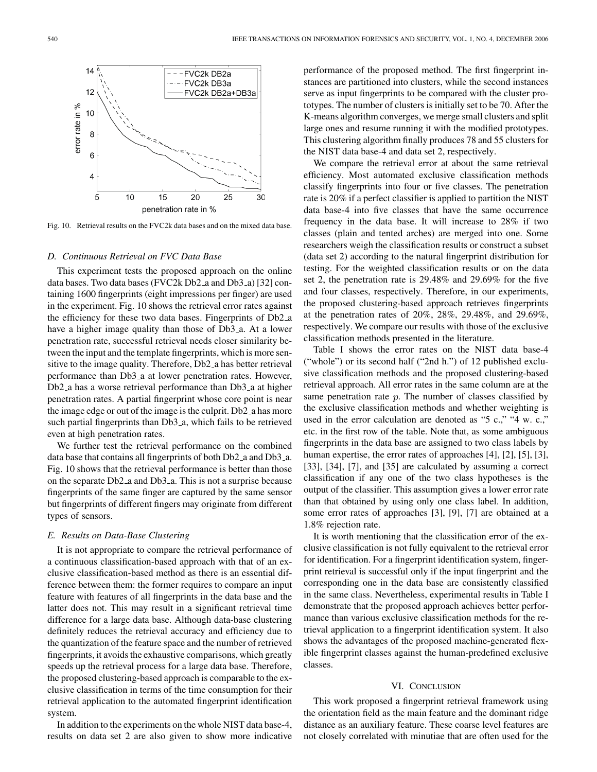

Fig. 10. Retrieval results on the FVC2k data bases and on the mixed data base.

## *D. Continuous Retrieval on FVC Data Base*

This experiment tests the proposed approach on the online data bases. Two data bases (FVC2k Db2<sub>-a</sub> and Db3<sub>-a</sub>) [32] containing 1600 fingerprints (eight impressions per finger) are used in the experiment. Fig. 10 shows the retrieval error rates against the efficiency for these two data bases. Fingerprints of Db2 a have a higher image quality than those of Db3<sub>-</sub>a. At a lower penetration rate, successful retrieval needs closer similarity between the input and the template fingerprints, which is more sensitive to the image quality. Therefore, Db2 a has better retrieval performance than Db3 a at lower penetration rates. However, Db2 a has a worse retrieval performance than Db3 a at higher penetration rates. A partial fingerprint whose core point is near the image edge or out of the image is the culprit. Db2 a has more such partial fingerprints than Db3 a, which fails to be retrieved even at high penetration rates.

We further test the retrieval performance on the combined data base that contains all fingerprints of both Db2 a and Db3 a. Fig. 10 shows that the retrieval performance is better than those on the separate Db2 a and Db3 a. This is not a surprise because fingerprints of the same finger are captured by the same sensor but fingerprints of different fingers may originate from different types of sensors.

## *E. Results on Data-Base Clustering*

It is not appropriate to compare the retrieval performance of a continuous classification-based approach with that of an exclusive classification-based method as there is an essential difference between them: the former requires to compare an input feature with features of all fingerprints in the data base and the latter does not. This may result in a significant retrieval time difference for a large data base. Although data-base clustering definitely reduces the retrieval accuracy and efficiency due to the quantization of the feature space and the number of retrieved fingerprints, it avoids the exhaustive comparisons, which greatly speeds up the retrieval process for a large data base. Therefore, the proposed clustering-based approach is comparable to the exclusive classification in terms of the time consumption for their retrieval application to the automated fingerprint identification system.

In addition to the experiments on the whole NIST data base-4, results on data set 2 are also given to show more indicative performance of the proposed method. The first fingerprint instances are partitioned into clusters, while the second instances serve as input fingerprints to be compared with the cluster prototypes. The number of clusters is initially set to be 70. After the K-means algorithm converges, we merge small clusters and split large ones and resume running it with the modified prototypes. This clustering algorithm finally produces 78 and 55 clusters for the NIST data base-4 and data set 2, respectively.

We compare the retrieval error at about the same retrieval efficiency. Most automated exclusive classification methods classify fingerprints into four or five classes. The penetration rate is 20% if a perfect classifier is applied to partition the NIST data base-4 into five classes that have the same occurrence frequency in the data base. It will increase to 28% if two classes (plain and tented arches) are merged into one. Some researchers weigh the classification results or construct a subset (data set 2) according to the natural fingerprint distribution for testing. For the weighted classification results or on the data set 2, the penetration rate is 29.48% and 29.69% for the five and four classes, respectively. Therefore, in our experiments, the proposed clustering-based approach retrieves fingerprints at the penetration rates of 20%, 28%, 29.48%, and 29.69%, respectively. We compare our results with those of the exclusive classification methods presented in the literature.

Table I shows the error rates on the NIST data base-4 ("whole") or its second half ("2nd h.") of 12 published exclusive classification methods and the proposed clustering-based retrieval approach. All error rates in the same column are at the same penetration rate  $p$ . The number of classes classified by the exclusive classification methods and whether weighting is used in the error calculation are denoted as "5 c.," "4 w. c.," etc. in the first row of the table. Note that, as some ambiguous fingerprints in the data base are assigned to two class labels by human expertise, the error rates of approaches [4], [2], [5], [3], [33], [34], [7], and [35] are calculated by assuming a correct classification if any one of the two class hypotheses is the output of the classifier. This assumption gives a lower error rate than that obtained by using only one class label. In addition, some error rates of approaches [3], [9], [7] are obtained at a 1.8% rejection rate.

It is worth mentioning that the classification error of the exclusive classification is not fully equivalent to the retrieval error for identification. For a fingerprint identification system, fingerprint retrieval is successful only if the input fingerprint and the corresponding one in the data base are consistently classified in the same class. Nevertheless, experimental results in Table I demonstrate that the proposed approach achieves better performance than various exclusive classification methods for the retrieval application to a fingerprint identification system. It also shows the advantages of the proposed machine-generated flexible fingerprint classes against the human-predefined exclusive classes.

#### VI. CONCLUSION

This work proposed a fingerprint retrieval framework using the orientation field as the main feature and the dominant ridge distance as an auxiliary feature. These coarse level features are not closely correlated with minutiae that are often used for the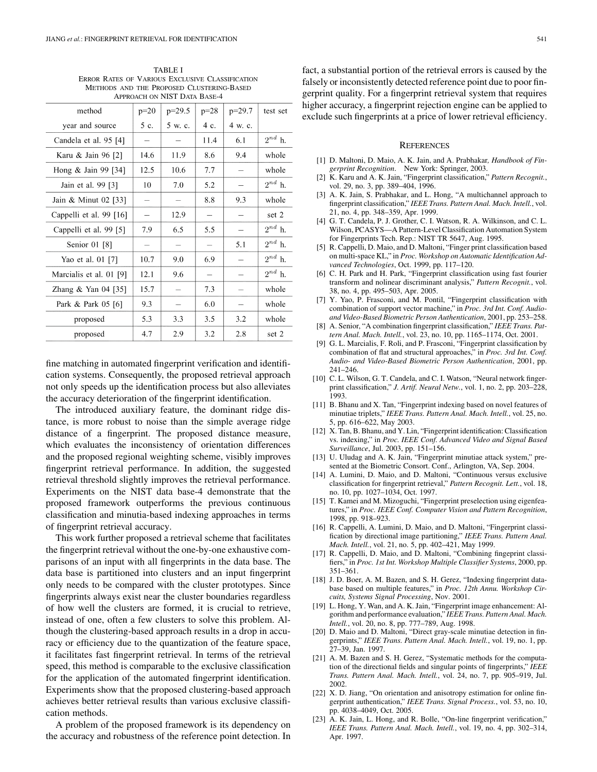TABLE I ERROR RATES OF VARIOUS EXCLUSIVE CLASSIFICATION METHODS AND THE PROPOSED CLUSTERING-BASED APPROACH ON NIST DATA BASE-4

| method                  | $p=20$ | $p=29.5$ | $p=28$                                | $p=29.7$ | test set    |
|-------------------------|--------|----------|---------------------------------------|----------|-------------|
| year and source         | 5 c.   | 5 w. c.  | 4 c.                                  | 4 w. c.  |             |
| Candela et al. 95 [4]   |        |          | 11.4                                  | 6.1      | $2^{nd}$ h. |
| Karu & Jain 96 [2]      | 14.6   | 11.9     | 8.6                                   | 9.4      | whole       |
| Hong & Jain 99 [34]     | 12.5   | 10.6     | 7.7                                   |          | whole       |
| Jain et al. 99 [3]      | 10     | 7.0      | 5.2                                   |          | $2^{nd}$ h. |
| Jain & Minut 02 [33]    |        |          | 8.8                                   | 9.3      | whole       |
| Cappelli et al. 99 [16] |        | 12.9     | $\hspace{1.0cm} \rule{1.5cm}{0.15cm}$ |          | set 2       |
| Cappelli et al. 99 [5]  | 7.9    | 6.5      | 5.5                                   |          | $2^{nd}$ h. |
| Senior 01 [8]           |        |          |                                       | 5.1      | $2^{nd}$ h. |
| Yao et al. 01 [7]       | 10.7   | 9.0      | 6.9                                   |          | $2^{nd}$ h. |
| Marcialis et al. 01 [9] | 12.1   | 9.6      | $\qquad \qquad \longleftarrow$        |          | $2^{nd}$ h. |
| Zhang & Yan 04 [35]     | 15.7   |          | 7.3                                   |          | whole       |
| Park & Park 05 [6]      | 9.3    |          | 6.0                                   |          | whole       |
| proposed                | 5.3    | 3.3      | 3.5                                   | 3.2      | whole       |
| proposed                | 4.7    | 2.9      | 3.2                                   | 2.8      | set 2       |

fine matching in automated fingerprint verification and identification systems. Consequently, the proposed retrieval approach not only speeds up the identification process but also alleviates the accuracy deterioration of the fingerprint identification.

The introduced auxiliary feature, the dominant ridge distance, is more robust to noise than the simple average ridge distance of a fingerprint. The proposed distance measure, which evaluates the inconsistency of orientation differences and the proposed regional weighting scheme, visibly improves fingerprint retrieval performance. In addition, the suggested retrieval threshold slightly improves the retrieval performance. Experiments on the NIST data base-4 demonstrate that the proposed framework outperforms the previous continuous classification and minutia-based indexing approaches in terms of fingerprint retrieval accuracy.

This work further proposed a retrieval scheme that facilitates the fingerprint retrieval without the one-by-one exhaustive comparisons of an input with all fingerprints in the data base. The data base is partitioned into clusters and an input fingerprint only needs to be compared with the cluster prototypes. Since fingerprints always exist near the cluster boundaries regardless of how well the clusters are formed, it is crucial to retrieve, instead of one, often a few clusters to solve this problem. Although the clustering-based approach results in a drop in accuracy or efficiency due to the quantization of the feature space, it facilitates fast fingerprint retrieval. In terms of the retrieval speed, this method is comparable to the exclusive classification for the application of the automated fingerprint identification. Experiments show that the proposed clustering-based approach achieves better retrieval results than various exclusive classification methods.

A problem of the proposed framework is its dependency on the accuracy and robustness of the reference point detection. In fact, a substantial portion of the retrieval errors is caused by the falsely or inconsistently detected reference point due to poor fingerprint quality. For a fingerprint retrieval system that requires higher accuracy, a fingerprint rejection engine can be applied to exclude such fingerprints at a price of lower retrieval efficiency.

#### **REFERENCES**

- [1] D. Maltoni, D. Maio, A. K. Jain, and A. Prabhakar*, Handbook of Fingerprint Recognition*. New York: Springer, 2003.
- [2] K. Karu and A. K. Jain, "Fingerprint classification," *Pattern Recognit.*, vol. 29, no. 3, pp. 389–404, 1996.
- [3] A. K. Jain, S. Prabhakar, and L. Hong, "A multichannel approach to fingerprint classification," *IEEE Trans. Pattern Anal. Mach. Intell.*, vol. 21, no. 4, pp. 348–359, Apr. 1999.
- [4] G. T. Candela, P. J. Grother, C. I. Watson, R. A. Wilkinson, and C. L. Wilson, PCASYS—A Pattern-Level Classification Automation System for Fingerprints Tech. Rep.: NIST TR 5647, Aug. 1995.
- [5] R. Cappelli, D. Maio, and D. Maltoni, "Finger print classification based on multi-space KL," in *Proc. Workshop on Automatic Identification Advanced Technologies*, Oct. 1999, pp. 117–120.
- [6] C. H. Park and H. Park, "Fingerprint classification using fast fourier transform and nolinear discriminant analysis," *Pattern Recognit.*, vol. 38, no. 4, pp. 495–503, Apr. 2005.
- [7] Y. Yao, P. Frasconi, and M. Pontil, "Fingerprint classification with combination of support vector machine," in *Proc. 3rd Int. Conf. Audioand Video-Based Biometric Person Authentication*, 2001, pp. 253–258.
- [8] A. Senior, "A combination fingerprint classification," *IEEE Trans. Pattern Anal. Mach. Intell.*, vol. 23, no. 10, pp. 1165–1174, Oct. 2001.
- [9] G. L. Marcialis, F. Roli, and P. Frasconi, "Fingerprint classification by combination of flat and structural approaches," in *Proc. 3rd Int. Conf. Audio- and Video-Based Biometric Person Authentication*, 2001, pp. 241–246.
- [10] C. L. Wilson, G. T. Candela, and C. I. Watson, "Neural network fingerprint classification," *J. Artif. Neural Netw.*, vol. 1, no. 2, pp. 203–228, 1993.
- [11] B. Bhanu and X. Tan, "Fingerprint indexing based on novel features of minutiae triplets," *IEEE Trans. Pattern Anal. Mach. Intell.*, vol. 25, no. 5, pp. 616–622, May 2003.
- [12] X. Tan, B. Bhanu, and Y. Lin, "Fingerprint identification: Classification vs. indexing," in *Proc. IEEE Conf. Advanced Video and Signal Based Surveillance*, Jul. 2003, pp. 151–156.
- [13] U. Uludag and A. K. Jain, "Fingerprint minutiae attack system," presented at the Biometric Consort. Conf., Arlington, VA, Sep. 2004.
- [14] A. Lumini, D. Maio, and D. Maltoni, "Continuous versus exclusive classification for fingerprint retrieval," *Pattern Recognit. Lett.*, vol. 18, no. 10, pp. 1027–1034, Oct. 1997.
- [15] T. Kamei and M. Mizoguchi, "Fingerprint preselection using eigenfeatures," in *Proc. IEEE Conf. Computer Vision and Pattern Recognition*, 1998, pp. 918–923.
- [16] R. Cappelli, A. Lumini, D. Maio, and D. Maltoni, "Fingerprint classification by directional image partitioning," *IEEE Trans. Pattern Anal. Mach. Intell.*, vol. 21, no. 5, pp. 402–421, May 1999.
- [17] R. Cappelli, D. Maio, and D. Maltoni, "Combining fingeprint classifiers," in *Proc. 1st Int. Workshop Multiple Classifier Systems*, 2000, pp. 351–361.
- [18] J. D. Boer, A. M. Bazen, and S. H. Gerez, "Indexing fingerprint database based on multiple features," in *Proc. 12th Annu. Workshop Circuits, Systems Signal Processing*, Nov. 2001.
- [19] L. Hong, Y. Wan, and A. K. Jain, "Fingerprint image enhancement: Algorithm and performance evaluation," *IEEE Trans. Pattern Anal. Mach. Intell.*, vol. 20, no. 8, pp. 777–789, Aug. 1998.
- [20] D. Maio and D. Maltoni, "Direct gray-scale minutiae detection in fingerprints," *IEEE Trans. Pattern Anal. Mach. Intell.*, vol. 19, no. 1, pp. 27–39, Jan. 1997.
- A. M. Bazen and S. H. Gerez, "Systematic methods for the computation of the directional fields and singular points of fingerprints," *IEEE Trans. Pattern Anal. Mach. Intell.*, vol. 24, no. 7, pp. 905–919, Jul. 2002.
- [22] X. D. Jiang, "On orientation and anisotropy estimation for online fingerprint authentication," *IEEE Trans. Signal Process.*, vol. 53, no. 10, pp. 4038–4049, Oct. 2005.
- [23] A. K. Jain, L. Hong, and R. Bolle, "On-line fingerprint verification," *IEEE Trans. Pattern Anal. Mach. Intell.*, vol. 19, no. 4, pp. 302–314, Apr. 1997.